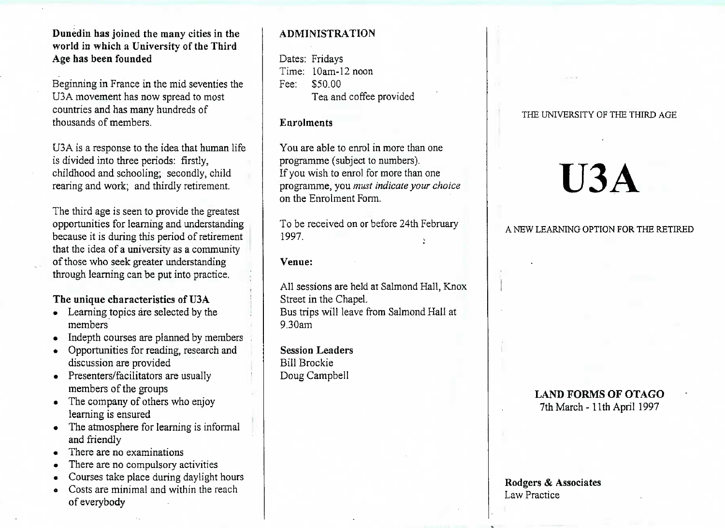#### **Dunedin has joined the many cities in the world in which a University of the ThirdAge has been founded**

Beginning in France in the mid seventies theUSA movement has now spread to mostcountries and has many hundreds ofthousands of members.

USA is a response to the idea that human lifeis divided into three periods: firstly, childhood and schooling; secondly, childrearing and work; and thirdly retirement.

The third age is seen to provide the greatest opportunities for learning and understanding because it is during this period of retirement that the idea of a university as a communityof those who seek greater understandingthrough learning can be put into practice.

#### **The unique characteristics of U3A**

- Learning topics are selected by the members
- Indepth courses are planned by members
- Opportunities for reading, research anddiscussion are provided
- Presenters/facilitators are usually members of the groups
- The company of others who enjoylearning is ensured
- The atmosphere for learning is informaland friendly
- There are no examinations
- There are no compulsory activities
- Courses take place during daylight hours
- Costs are minimal and within the reachof everybody

#### **ADMINISTRATION**

Dates: Fridays Time: 10am-12 noonFee: \$50.00Tea and coffee provided

#### **Enrolments**

You are able to enrol in more than oneprogramme (subject to numbers). If you wish to enrol for more than one programme, you *must indicate your choice*on the Enrolment Form.

To be received on or before 24th February1997.

#### **Venue:**

All sessions are held at Salmond Hall, KnoxStreet in the Chapel. Bus trips will leave from Salmond Hall at9.30am

**Session Leaders**Bill BrockieDoug Campbell

#### THE UNIVERSITY OF THE THIRD AGE

# **U3A**

#### A NEW LEARNING OPTION FOR THE RETIRED

## **LAND FORMS OF OTAGO**

7th March-llth April 1997

#### **Rodgers & Associates**Law Practice